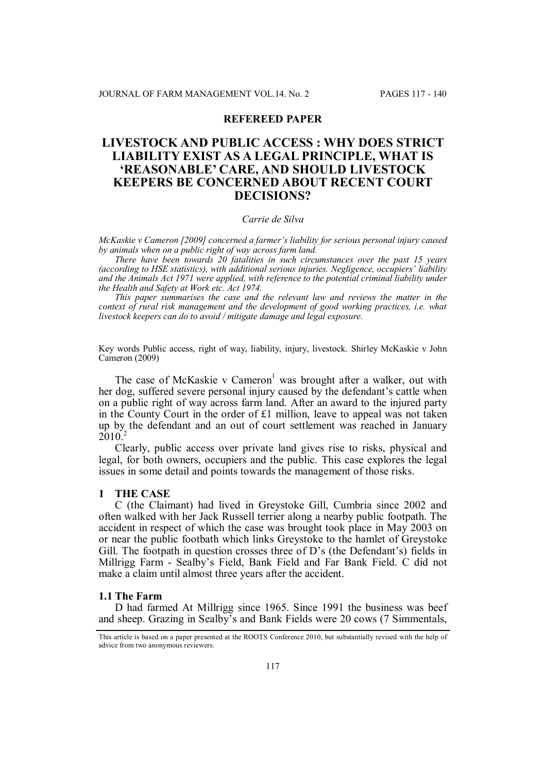# **REFEREED PAPER**

# **LIVESTOCK AND PUBLIC ACCESS : WHY DOES STRICT LIABILITY EXIST AS A LEGAL PRINCIPLE, WHAT IS 'REASONABLE' CARE, AND SHOULD LIVESTOCK KEEPERS BE CONCERNED ABOUT RECENT COURT DECISIONS?**

### *Carrie de Silva*

*McKaskie v Cameron [2009] concerned a farmer's liability for serious personal injury caused by animals when on a public right of way across farm land.*

*There have been towards 20 fatalities in such circumstances over the past 15 years (according to HSE statistics), with additional serious injuries. Negligence, occupiers' liability and the Animals Act 1971 were applied, with reference to the potential criminal liability under the Health and Safety at Work etc. Act 1974.*

*This paper summarises the case and the relevant law and reviews the matter in the context of rural risk management and the development of good working practices, i.e. what livestock keepers can do to avoid / mitigate damage and legal exposure.*

Key words Public access, right of way, liability, injury, livestock. Shirley McKaskie v John Cameron (2009)

The case of McKaskie v Cameron<sup>1</sup> was brought after a walker, out with her dog, suffered severe personal injury caused by the defendant's cattle when on a public right of way across farm land. After an award to the injured party in the County Court in the order of  $£1$  million, leave to appeal was not taken up by the defendant and an out of court settlement was reached in January 2010.<sup>2</sup>

Clearly, public access over private land gives rise to risks, physical and legal, for both owners, occupiers and the public. This case explores the legal issues in some detail and points towards the management of those risks.

#### **1 THE CASE**

C (the Claimant) had lived in Greystoke Gill, Cumbria since 2002 and often walked with her Jack Russell terrier along a nearby public footpath. The accident in respect of which the case was brought took place in May 2003 on or near the public footbath which links Greystoke to the hamlet of Greystoke Gill. The footpath in question crosses three of D's (the Defendant's) fields in Millrigg Farm - Sealby's Field, Bank Field and Far Bank Field. C did not make a claim until almost three years after the accident.

#### **1.1 The Farm**

D had farmed At Millrigg since 1965. Since 1991 the business was beef and sheep. Grazing in Sealby's and Bank Fields were 20 cows (7 Simmentals,

This article is based on a paper presented at the ROOTS Conference 2010, but substantially revised with the help of advice from two anonymous reviewers.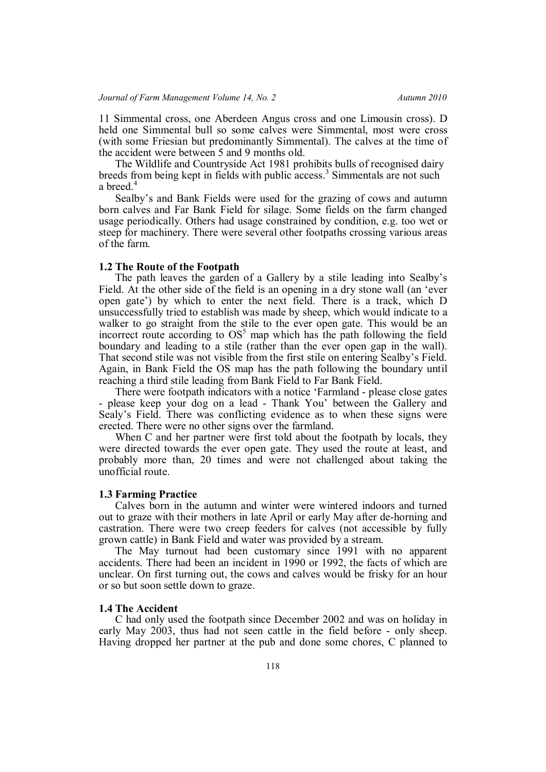11 Simmental cross, one Aberdeen Angus cross and one Limousin cross). D held one Simmental bull so some calves were Simmental, most were cross (with some Friesian but predominantly Simmental). The calves at the time of the accident were between 5 and 9 months old.

The Wildlife and Countryside Act 1981 prohibits bulls of recognised dairy breeds from being kept in fields with public access.<sup>3</sup> Simmentals are not such a breed.<sup>4</sup>

Sealby's and Bank Fields were used for the grazing of cows and autumn born calves and Far Bank Field for silage. Some fields on the farm changed usage periodically. Others had usage constrained by condition, e.g. too wet or steep for machinery. There were several other footpaths crossing various areas of the farm.

### **1.2 The Route of the Footpath**

The path leaves the garden of a Gallery by a stile leading into Sealby's Field. At the other side of the field is an opening in a dry stone wall (an 'ever open gate') by which to enter the next field. There is a track, which D unsuccessfully tried to establish was made by sheep, which would indicate to a walker to go straight from the stile to the ever open gate. This would be an incorrect route according to  $OS<sup>5</sup>$  map which has the path following the field boundary and leading to a stile (rather than the ever open gap in the wall). That second stile was not visible from the first stile on entering Sealby's Field. Again, in Bank Field the OS map has the path following the boundary until reaching a third stile leading from Bank Field to Far Bank Field.

There were footpath indicators with a notice 'Farmland - please close gates - please keep your dog on a lead - Thank You' between the Gallery and Sealy's Field. There was conflicting evidence as to when these signs were erected. There were no other signs over the farmland.

When C and her partner were first told about the footpath by locals, they were directed towards the ever open gate. They used the route at least, and probably more than, 20 times and were not challenged about taking the unofficial route.

#### **1.3 Farming Practice**

Calves born in the autumn and winter were wintered indoors and turned out to graze with their mothers in late April or early May after de-horning and castration. There were two creep feeders for calves (not accessible by fully grown cattle) in Bank Field and water was provided by a stream.

The May turnout had been customary since 1991 with no apparent accidents. There had been an incident in 1990 or 1992, the facts of which are unclear. On first turning out, the cows and calves would be frisky for an hour or so but soon settle down to graze.

# **1.4 The Accident**

C had only used the footpath since December 2002 and was on holiday in early May 2003, thus had not seen cattle in the field before - only sheep. Having dropped her partner at the pub and done some chores, C planned to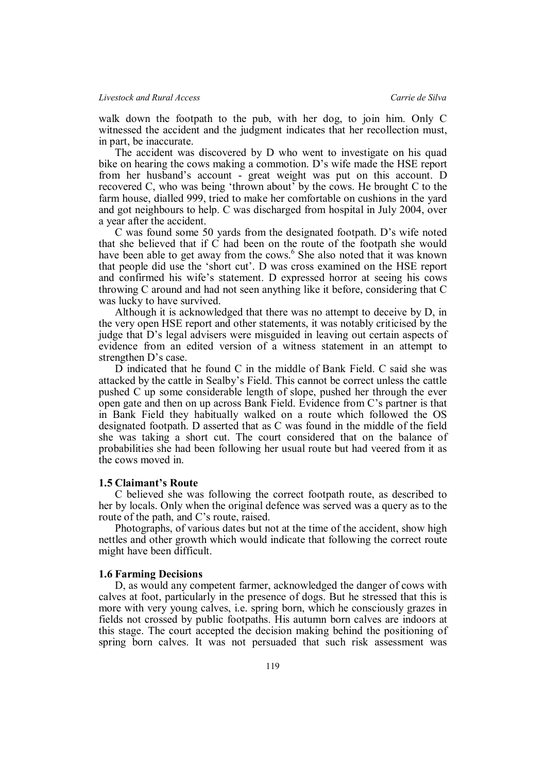walk down the footpath to the pub, with her dog, to join him. Only C witnessed the accident and the judgment indicates that her recollection must, in part, be inaccurate.

The accident was discovered by D who went to investigate on his quad bike on hearing the cows making a commotion. D's wife made the HSE report from her husband's account - great weight was put on this account. D recovered C, who was being 'thrown about' by the cows. He brought C to the farm house, dialled 999, tried to make her comfortable on cushions in the yard and got neighbours to help. C was discharged from hospital in July 2004, over a year after the accident.

C was found some 50 yards from the designated footpath. D's wife noted that she believed that if C had been on the route of the footpath she would have been able to get away from the cows.<sup>6</sup> She also noted that it was known that people did use the 'short cut'. D was cross examined on the HSE report and confirmed his wife's statement. D expressed horror at seeing his cows throwing C around and had not seen anything like it before, considering that C was lucky to have survived.

Although it is acknowledged that there was no attempt to deceive by D, in the very open HSE report and other statements, it was notably criticised by the judge that D's legal advisers were misguided in leaving out certain aspects of evidence from an edited version of a witness statement in an attempt to strengthen D's case.

D indicated that he found C in the middle of Bank Field. C said she was attacked by the cattle in Sealby's Field. This cannot be correct unless the cattle pushed C up some considerable length of slope, pushed her through the ever open gate and then on up across Bank Field. Evidence from C's partner is that in Bank Field they habitually walked on a route which followed the OS designated footpath. D asserted that as C was found in the middle of the field she was taking a short cut. The court considered that on the balance of probabilities she had been following her usual route but had veered from it as the cows moved in.

### **1.5 Claimant's Route**

C believed she was following the correct footpath route, as described to her by locals. Only when the original defence was served was a query as to the route of the path, and C's route, raised.

Photographs, of various dates but not at the time of the accident, show high nettles and other growth which would indicate that following the correct route might have been difficult.

### **1.6 Farming Decisions**

D, as would any competent farmer, acknowledged the danger of cows with calves at foot, particularly in the presence of dogs. But he stressed that this is more with very young calves, i.e. spring born, which he consciously grazes in fields not crossed by public footpaths. His autumn born calves are indoors at this stage. The court accepted the decision making behind the positioning of spring born calves. It was not persuaded that such risk assessment was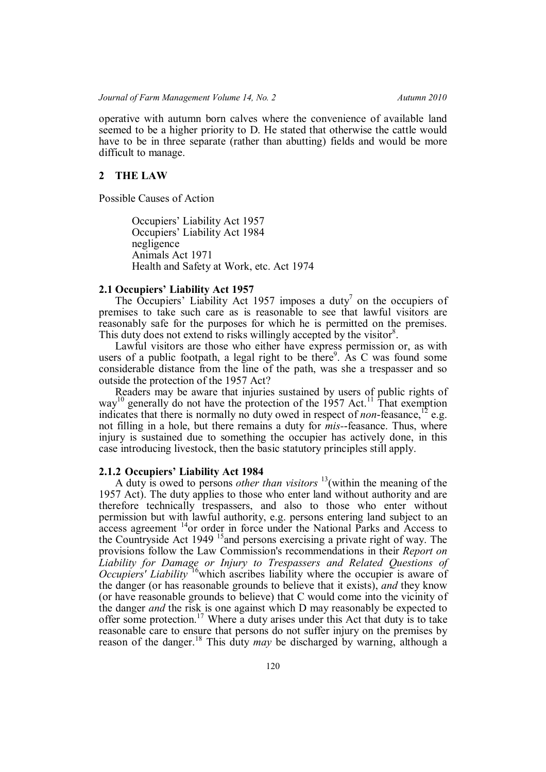operative with autumn born calves where the convenience of available land seemed to be a higher priority to D. He stated that otherwise the cattle would have to be in three separate (rather than abutting) fields and would be more difficult to manage.

## **2 THE LAW**

Possible Causes of Action

Occupiers' Liability Act 1957 Occupiers' Liability Act 1984 negligence Animals Act 1971 Health and Safety at Work, etc. Act 1974

## **2.1 Occupiers' Liability Act 1957**

The Occupiers' Liability Act 1957 imposes a duty<sup>7</sup> on the occupiers of premises to take such care as is reasonable to see that lawful visitors are reasonably safe for the purposes for which he is permitted on the premises. This duty does not extend to risks willingly accepted by the visitor $8$ .

Lawful visitors are those who either have express permission or, as with users of a public footpath, a legal right to be there<sup>9</sup>. As C was found some considerable distance from the line of the path, was she a trespasser and so outside the protection of the 1957 Act?

Readers may be aware that injuries sustained by users of public rights of way<sup>10</sup> generally do not have the protection of the 1957 Act.<sup>11</sup> That exemption indicates that there is normally no duty owed in respect of *non*-feasance,  $^{12}$  e.g. not filling in a hole, but there remains a duty for *mis-*-feasance. Thus, where injury is sustained due to something the occupier has actively done, in this case introducing livestock, then the basic statutory principles still apply.

## **2.1.2 Occupiers' Liability Act 1984**

A duty is owed to persons *other than visitors* <sup>13</sup>(within the meaning of the 1957 Act). The duty applies to those who enter land without authority and are therefore technically trespassers, and also to those who enter without permission but with lawful authority, e.g. persons entering land subject to an access agreement <sup>14</sup>or order in force under the National Parks and Access to the Countryside Act 1949<sup>15</sup> and persons exercising a private right of way. The provisions follow the Law Commission's recommendations in their *Report on Liability for Damage or Injury to Trespassers and Related Questions of Occupiers' Liability* <sup>16</sup>which ascribes liability where the occupier is aware of the danger (or has reasonable grounds to believe that it exists), *and* they know (or have reasonable grounds to believe) that C would come into the vicinity of the danger *and* the risk is one against which D may reasonably be expected to offer some protection.<sup>17</sup> Where a duty arises under this Act that duty is to take reasonable care to ensure that persons do not suffer injury on the premises by reason of the danger.<sup>18</sup> This duty *may* be discharged by warning, although a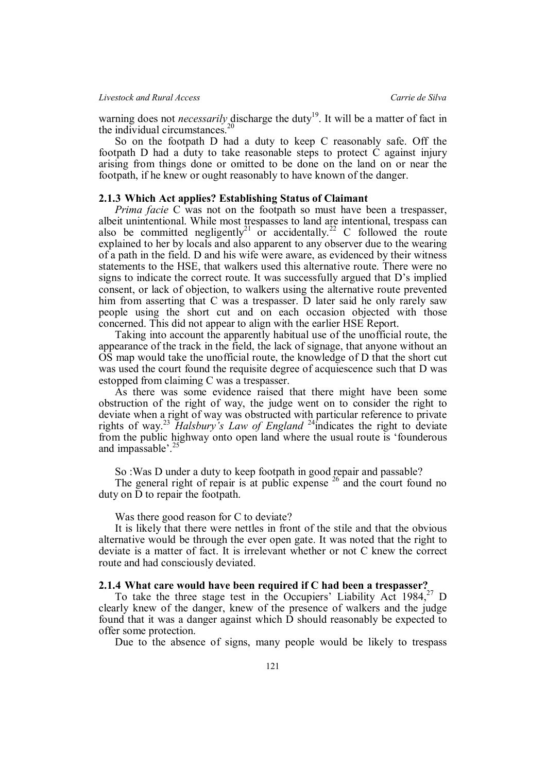warning does not *necessarily* discharge the duty<sup>19</sup>. It will be a matter of fact in the individual circumstances.<sup>20</sup>

So on the footpath D had a duty to keep C reasonably safe. Off the footpath D had a duty to take reasonable steps to protect C against injury arising from things done or omitted to be done on the land on or near the footpath, if he knew or ought reasonably to have known of the danger.

# **2.1.3 Which Act applies? Establishing Status of Claimant**

*Prima facie* C was not on the footpath so must have been a trespasser, albeit unintentional. While most trespasses to land are intentional, trespass can also be committed negligently<sup>21</sup> or accidentally.<sup>22</sup> C followed the route explained to her by locals and also apparent to any observer due to the wearing of a path in the field. D and his wife were aware, as evidenced by their witness statements to the HSE, that walkers used this alternative route. There were no signs to indicate the correct route. It was successfully argued that D's implied consent, or lack of objection, to walkers using the alternative route prevented him from asserting that C was a trespasser. D later said he only rarely saw people using the short cut and on each occasion objected with those concerned. This did not appear to align with the earlier HSE Report.

Taking into account the apparently habitual use of the unofficial route, the appearance of the track in the field, the lack of signage, that anyone without an OS map would take the unofficial route, the knowledge of D that the short cut was used the court found the requisite degree of acquiescence such that D was estopped from claiming C was a trespasser.

As there was some evidence raised that there might have been some obstruction of the right of way, the judge went on to consider the right to deviate when a right of way was obstructed with particular reference to private rights of way.<sup>23</sup> *Halsbury's Law of England* <sup>24</sup>indicates the right to deviate from the public highway onto open land where the usual route is 'founderous and impassable'.<sup>25</sup>

So :Was D under a duty to keep footpath in good repair and passable?

The general right of repair is at public expense <sup>26</sup> and the court found no duty on D to repair the footpath.

Was there good reason for C to deviate?

It is likely that there were nettles in front of the stile and that the obvious alternative would be through the ever open gate. It was noted that the right to deviate is a matter of fact. It is irrelevant whether or not C knew the correct route and had consciously deviated.

## **2.1.4 What care would have been required if C had been a trespasser?**

To take the three stage test in the Occupiers' Liability Act 1984,<sup>27</sup> D clearly knew of the danger, knew of the presence of walkers and the judge found that it was a danger against which D should reasonably be expected to offer some protection.

Due to the absence of signs, many people would be likely to trespass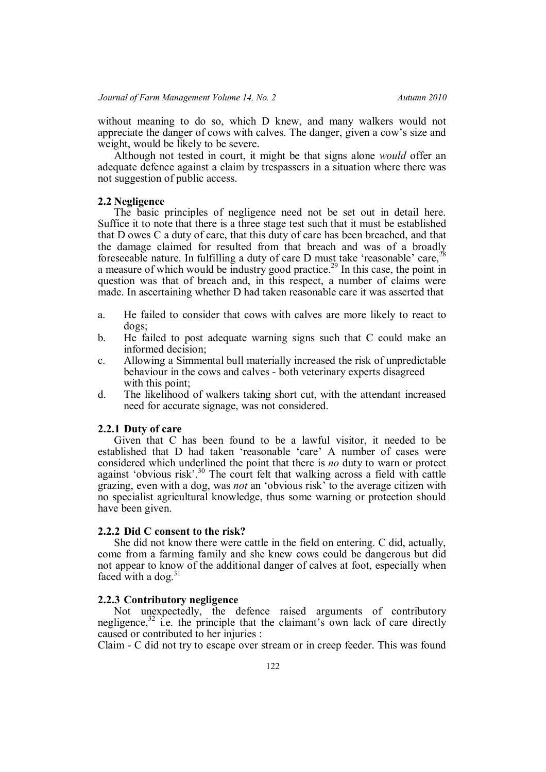without meaning to do so, which D knew, and many walkers would not appreciate the danger of cows with calves. The danger, given a cow's size and weight, would be likely to be severe.

Although not tested in court, it might be that signs alone *would* offer an adequate defence against a claim by trespassers in a situation where there was not suggestion of public access.

## **2.2 Negligence**

The basic principles of negligence need not be set out in detail here. Suffice it to note that there is a three stage test such that it must be established that D owes C a duty of care, that this duty of care has been breached, and that the damage claimed for resulted from that breach and was of a broadly foreseeable nature. In fulfilling a duty of care D must take 'reasonable' care,<sup>2</sup> a measure of which would be industry good practice.<sup>29</sup> In this case, the point in question was that of breach and, in this respect, a number of claims were made. In ascertaining whether D had taken reasonable care it was asserted that

- a. He failed to consider that cows with calves are more likely to react to dogs;
- b. He failed to post adequate warning signs such that C could make an informed decision;
- c. Allowing a Simmental bull materially increased the risk of unpredictable behaviour in the cows and calves - both veterinary experts disagreed with this point:
- d. The likelihood of walkers taking short cut, with the attendant increased need for accurate signage, was not considered.

## **2.2.1 Duty of care**

Given that C has been found to be a lawful visitor, it needed to be established that D had taken 'reasonable 'care' A number of cases were considered which underlined the point that there is *no* duty to warn or protect against 'obvious risk'.<sup>30</sup> The court felt that walking across a field with cattle grazing, even with a dog, was *not* an 'obvious risk' to the average citizen with no specialist agricultural knowledge, thus some warning or protection should have been given.

# **2.2.2 Did C consent to the risk?**

She did not know there were cattle in the field on entering. C did, actually, come from a farming family and she knew cows could be dangerous but did not appear to know of the additional danger of calves at foot, especially when faced with a dog. $31$ 

### **2.2.3 Contributory negligence**

Not unexpectedly, the defence raised arguments of contributory negligence,<sup>32</sup> i.e. the principle that the claimant's own lack of care directly caused or contributed to her injuries :

Claim - C did not try to escape over stream or in creep feeder. This was found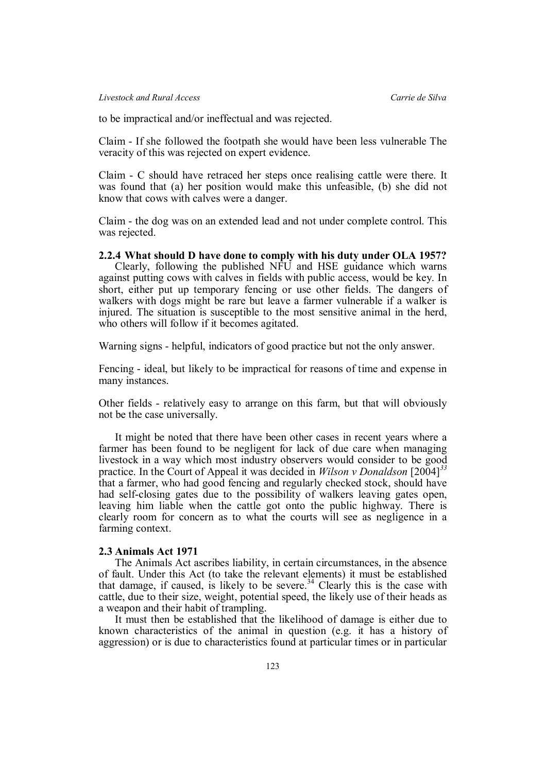to be impractical and/or ineffectual and was rejected.

Claim - If she followed the footpath she would have been less vulnerable The veracity of this was rejected on expert evidence.

Claim - C should have retraced her steps once realising cattle were there. It was found that (a) her position would make this unfeasible, (b) she did not know that cows with calves were a danger.

Claim - the dog was on an extended lead and not under complete control. This was rejected.

# **2.2.4 What should D have done to comply with his duty under OLA 1957?**

Clearly, following the published NFU and HSE guidance which warns against putting cows with calves in fields with public access, would be key. In short, either put up temporary fencing or use other fields. The dangers of walkers with dogs might be rare but leave a farmer vulnerable if a walker is injured. The situation is susceptible to the most sensitive animal in the herd, who others will follow if it becomes agitated.

Warning signs - helpful, indicators of good practice but not the only answer.

Fencing - ideal, but likely to be impractical for reasons of time and expense in many instances.

Other fields - relatively easy to arrange on this farm, but that will obviously not be the case universally.

It might be noted that there have been other cases in recent years where a farmer has been found to be negligent for lack of due care when managing livestock in a way which most industry observers would consider to be good practice. In the Court of Appeal it was decided in *Wilson v Donaldson* [2004]*<sup>33</sup>* that a farmer, who had good fencing and regularly checked stock, should have had self-closing gates due to the possibility of walkers leaving gates open, leaving him liable when the cattle got onto the public highway. There is clearly room for concern as to what the courts will see as negligence in a farming context.

# **2.3 Animals Act 1971**

The Animals Act ascribes liability, in certain circumstances, in the absence of fault. Under this Act (to take the relevant elements) it must be established that damage, if caused, is likely to be severe.<sup>34</sup> Clearly this is the case with cattle, due to their size, weight, potential speed, the likely use of their heads as a weapon and their habit of trampling.

It must then be established that the likelihood of damage is either due to known characteristics of the animal in question (e.g. it has a history of aggression) or is due to characteristics found at particular times or in particular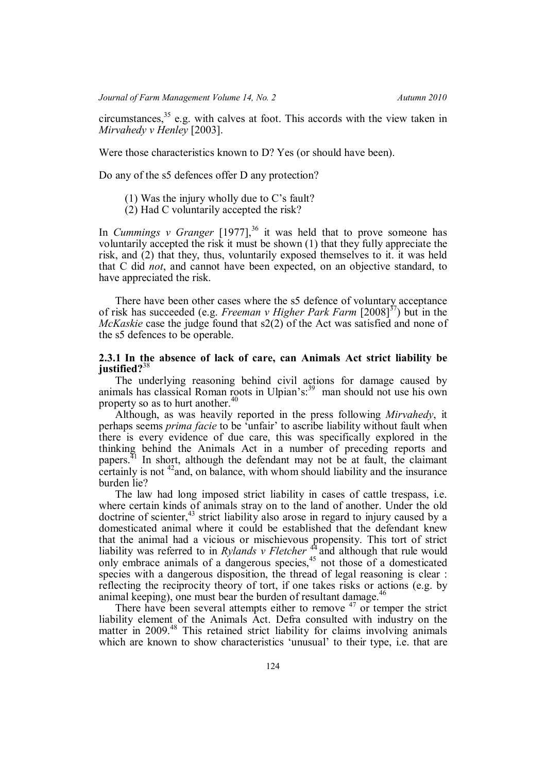circumstances,<sup>35</sup> e.g. with calves at foot. This accords with the view taken in *Mirvahedy v Henley* [2003].

Were those characteristics known to D? Yes (or should have been).

Do any of the s5 defences offer D any protection?

- (1) Was the injury wholly due to C's fault?
- (2) Had C voluntarily accepted the risk?

In *Cummings v Granger*  $[1977]$ ,<sup>36</sup> it was held that to prove someone has voluntarily accepted the risk it must be shown (1) that they fully appreciate the risk, and (2) that they, thus, voluntarily exposed themselves to it. it was held that C did *not*, and cannot have been expected, on an objective standard, to have appreciated the risk.

There have been other cases where the s5 defence of voluntary acceptance of risk has succeeded (e.g. *Freeman v Higher Park Farm* [2008]<sup>37</sup>) but in the *McKaskie* case the judge found that s2(2) of the Act was satisfied and none of the s5 defences to be operable.

# **2.3.1 In the absence of lack of care, can Animals Act strict liability be justified?**<sup>38</sup>

The underlying reasoning behind civil actions for damage caused by animals has classical Roman roots in Ulpian's:<sup>39</sup> man should not use his own property so as to hurt another.<sup>4</sup>

Although, as was heavily reported in the press following *Mirvahedy*, it perhaps seems *prima facie* to be 'unfair' to ascribe liability without fault when there is every evidence of due care, this was specifically explored in the thinking behind the Animals Act in a number of preceding reports and papers.<sup> $41$ </sup> In short, although the defendant may not be at fault, the claimant certainly is not  $42$  and, on balance, with whom should liability and the insurance burden lie?

The law had long imposed strict liability in cases of cattle trespass, i.e. where certain kinds of animals stray on to the land of another. Under the old doctrine of scienter,  $43$  strict liability also arose in regard to injury caused by a domesticated animal where it could be established that the defendant knew that the animal had a vicious or mischievous propensity. This tort of strict liability was referred to in *Rylands v Fletcher*<sup>44</sup> and although that rule would only embrace animals of a dangerous species, $45$  not those of a domesticated species with a dangerous disposition, the thread of legal reasoning is clear : reflecting the reciprocity theory of tort, if one takes risks or actions (e.g. by animal keeping), one must bear the burden of resultant damage.<sup>46</sup>

There have been several attempts either to remove  $47$  or temper the strict liability element of the Animals Act. Defra consulted with industry on the matter in 2009.<sup>48</sup> This retained strict liability for claims involving animals which are known to show characteristics 'unusual' to their type, i.e. that are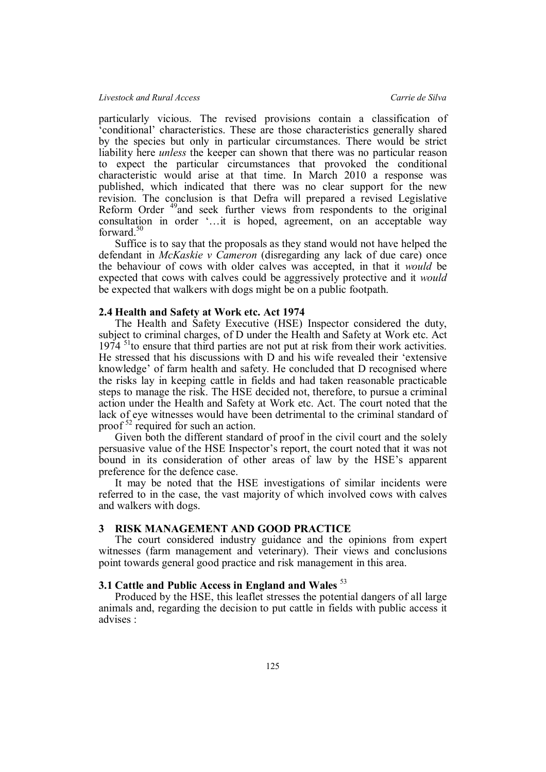## *Livestock and Rural Access Carrie de Silva*

particularly vicious. The revised provisions contain a classification of 'conditional' characteristics. These are those characteristics generally shared by the species but only in particular circumstances. There would be strict liability here *unless* the keeper can shown that there was no particular reason to expect the particular circumstances that provoked the conditional characteristic would arise at that time. In March 2010 a response was published, which indicated that there was no clear support for the new revision. The conclusion is that Defra will prepared a revised Legislative Reform Order <sup>49</sup>and seek further views from respondents to the original consultation in order '…it is hoped, agreement, on an acceptable way forward.<sup>50</sup>

Suffice is to say that the proposals as they stand would not have helped the defendant in *McKaskie v Cameron* (disregarding any lack of due care) once the behaviour of cows with older calves was accepted, in that it *would* be expected that cows with calves could be aggressively protective and it *would* be expected that walkers with dogs might be on a public footpath.

### **2.4 Health and Safety at Work etc. Act 1974**

The Health and Safety Executive (HSE) Inspector considered the duty, subject to criminal charges, of D under the Health and Safety at Work etc. Act  $1974$  <sup>51</sup>to ensure that third parties are not put at risk from their work activities. He stressed that his discussions with D and his wife revealed their 'extensive knowledge' of farm health and safety. He concluded that D recognised where the risks lay in keeping cattle in fields and had taken reasonable practicable steps to manage the risk. The HSE decided not, therefore, to pursue a criminal action under the Health and Safety at Work etc. Act. The court noted that the lack of eye witnesses would have been detrimental to the criminal standard of proof<sup>52</sup> required for such an action.

Given both the different standard of proof in the civil court and the solely persuasive value of the HSE Inspector's report, the court noted that it was not bound in its consideration of other areas of law by the HSE's apparent preference for the defence case.

It may be noted that the HSE investigations of similar incidents were referred to in the case, the vast majority of which involved cows with calves and walkers with dogs.

# **3 RISK MANAGEMENT AND GOOD PRACTICE**

The court considered industry guidance and the opinions from expert witnesses (farm management and veterinary). Their views and conclusions point towards general good practice and risk management in this area.

# **3.1 Cattle and Public Access in England and Wales** <sup>53</sup>

Produced by the HSE, this leaflet stresses the potential dangers of all large animals and, regarding the decision to put cattle in fields with public access it advises :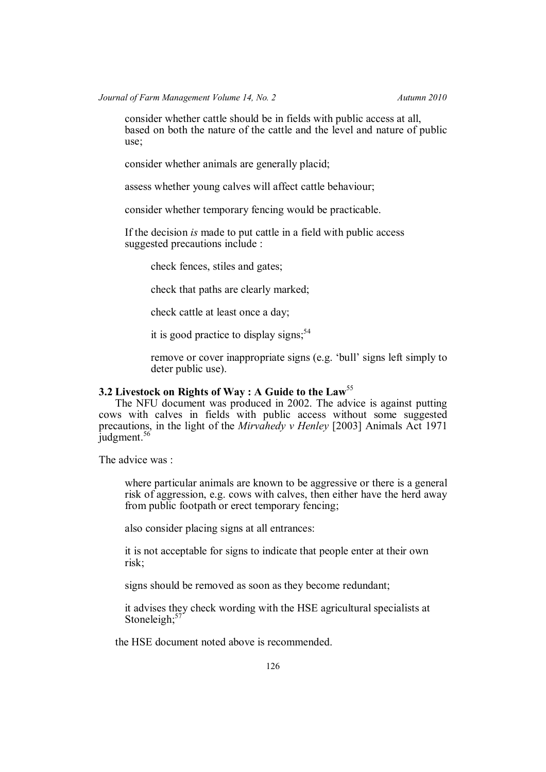consider whether cattle should be in fields with public access at all, based on both the nature of the cattle and the level and nature of public use;

consider whether animals are generally placid;

assess whether young calves will affect cattle behaviour;

consider whether temporary fencing would be practicable.

If the decision *is* made to put cattle in a field with public access suggested precautions include :

check fences, stiles and gates;

check that paths are clearly marked;

check cattle at least once a day;

it is good practice to display signs: $54$ 

remove or cover inappropriate signs (e.g. 'bull' signs left simply to deter public use).

# **3.2 Livestock on Rights of Way : A Guide to the Law**<sup>55</sup>

The NFU document was produced in 2002. The advice is against putting cows with calves in fields with public access without some suggested precautions, in the light of the *Mirvahedy v Henley* [2003] Animals Act 1971 judgment.<sup>56</sup>

The advice was :

where particular animals are known to be aggressive or there is a general risk of aggression, e.g. cows with calves, then either have the herd away from public footpath or erect temporary fencing;

also consider placing signs at all entrances:

it is not acceptable for signs to indicate that people enter at their own risk;

signs should be removed as soon as they become redundant;

it advises they check wording with the HSE agricultural specialists at Stoneleigh; $57$ 

the HSE document noted above is recommended.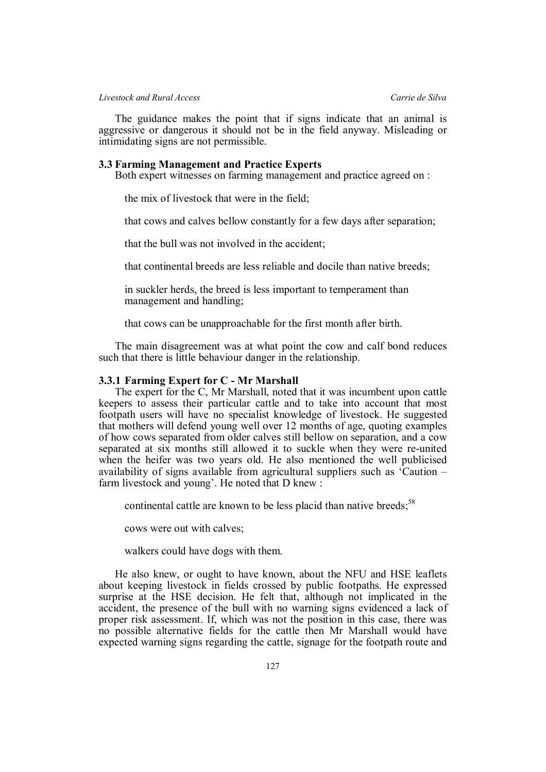*Livestock and Rural Access Carrie de Silva*

The guidance makes the point that if signs indicate that an animal is aggressive or dangerous it should not be in the field anyway. Misleading or intimidating signs are not permissible.

### **3.3 Farming Management and Practice Experts**

Both expert witnesses on farming management and practice agreed on :

the mix of livestock that were in the field;

that cows and calves bellow constantly for a few days after separation;

that the bull was not involved in the accident;

that continental breeds are less reliable and docile than native breeds;

in suckler herds, the breed is less important to temperament than management and handling;

that cows can be unapproachable for the first month after birth.

The main disagreement was at what point the cow and calf bond reduces such that there is little behaviour danger in the relationship.

#### **3.3.1 Farming Expert for C - Mr Marshall**

The expert for the C, Mr Marshall, noted that it was incumbent upon cattle keepers to assess their particular cattle and to take into account that most footpath users will have no specialist knowledge of livestock. He suggested that mothers will defend young well over 12 months of age, quoting examples of how cows separated from older calves still bellow on separation, and a cow separated at six months still allowed it to suckle when they were re-united when the heifer was two years old. He also mentioned the well publicised availability of signs available from agricultural suppliers such as 'Caution – farm livestock and young'. He noted that D knew :

continental cattle are known to be less placid than native breeds; $58$ 

cows were out with calves;

walkers could have dogs with them.

He also knew, or ought to have known, about the NFU and HSE leaflets about keeping livestock in fields crossed by public footpaths. He expressed surprise at the HSE decision. He felt that, although not implicated in the accident, the presence of the bull with no warning signs evidenced a lack of proper risk assessment. If, which was not the position in this case, there was no possible alternative fields for the cattle then Mr Marshall would have expected warning signs regarding the cattle, signage for the footpath route and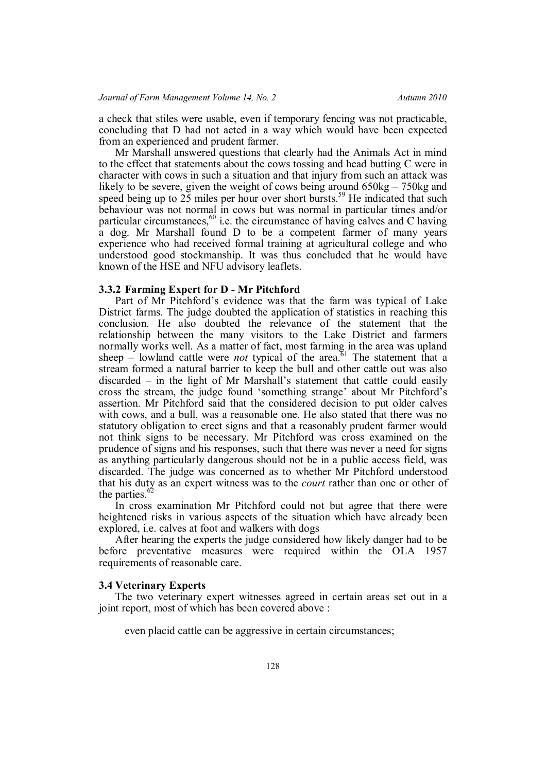a check that stiles were usable, even if temporary fencing was not practicable, concluding that D had not acted in a way which would have been expected from an experienced and prudent farmer.

Mr Marshall answered questions that clearly had the Animals Act in mind to the effect that statements about the cows tossing and head butting C were in character with cows in such a situation and that injury from such an attack was likely to be severe, given the weight of cows being around 650kg – 750kg and speed being up to  $25$  miles per hour over short bursts.<sup>59</sup> He indicated that such behaviour was not normal in cows but was normal in particular times and/or particular circumstances, $60$  i.e. the circumstance of having calves and C having a dog. Mr Marshall found D to be a competent farmer of many years experience who had received formal training at agricultural college and who understood good stockmanship. It was thus concluded that he would have known of the HSE and NFU advisory leaflets.

# **3.3.2 Farming Expert for D - Mr Pitchford**

Part of Mr Pitchford's evidence was that the farm was typical of Lake District farms. The judge doubted the application of statistics in reaching this conclusion. He also doubted the relevance of the statement that the relationship between the many visitors to the Lake District and farmers normally works well. As a matter of fact, most farming in the area was upland sheep – lowland cattle were *not* typical of the area.<sup>61</sup> The statement that a stream formed a natural barrier to keep the bull and other cattle out was also discarded – in the light of Mr Marshall's statement that cattle could easily cross the stream, the judge found 'something strange' about Mr Pitchford's assertion. Mr Pitchford said that the considered decision to put older calves with cows, and a bull, was a reasonable one. He also stated that there was no statutory obligation to erect signs and that a reasonably prudent farmer would not think signs to be necessary. Mr Pitchford was cross examined on the prudence of signs and his responses, such that there was never a need for signs as anything particularly dangerous should not be in a public access field, was discarded. The judge was concerned as to whether Mr Pitchford understood that his duty as an expert witness was to the *court* rather than one or other of the parties. $<sup>6</sup>$ </sup>

In cross examination Mr Pitchford could not but agree that there were heightened risks in various aspects of the situation which have already been explored, i.e. calves at foot and walkers with dogs

After hearing the experts the judge considered how likely danger had to be before preventative measures were required within the OLA 1957 requirements of reasonable care.

### **3.4 Veterinary Experts**

The two veterinary expert witnesses agreed in certain areas set out in a joint report, most of which has been covered above :

even placid cattle can be aggressive in certain circumstances;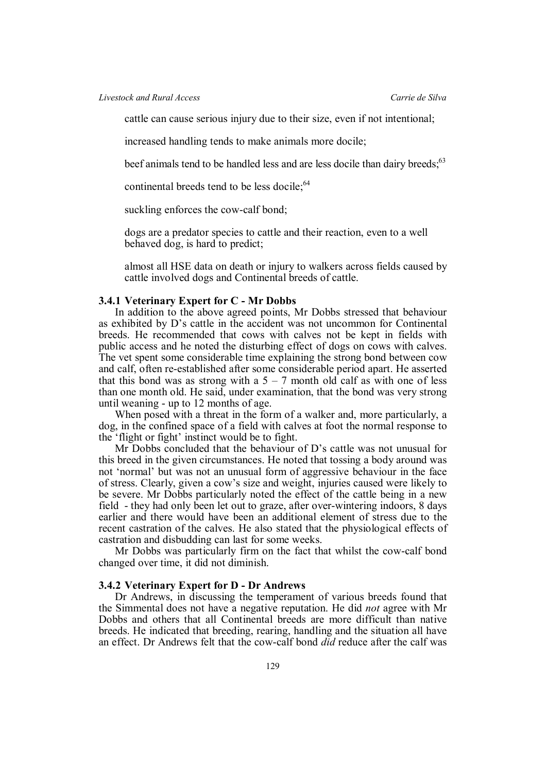cattle can cause serious injury due to their size, even if not intentional;

increased handling tends to make animals more docile;

beef animals tend to be handled less and are less docile than dairy breeds;<sup>63</sup>

continental breeds tend to be less docile; <sup>64</sup>

suckling enforces the cow-calf bond;

dogs are a predator species to cattle and their reaction, even to a well behaved dog, is hard to predict;

almost all HSE data on death or injury to walkers across fields caused by cattle involved dogs and Continental breeds of cattle.

### **3.4.1 Veterinary Expert for C - Mr Dobbs**

In addition to the above agreed points, Mr Dobbs stressed that behaviour as exhibited by D's cattle in the accident was not uncommon for Continental breeds. He recommended that cows with calves not be kept in fields with public access and he noted the disturbing effect of dogs on cows with calves. The vet spent some considerable time explaining the strong bond between cow and calf, often re-established after some considerable period apart. He asserted that this bond was as strong with a  $5 - 7$  month old calf as with one of less than one month old. He said, under examination, that the bond was very strong until weaning - up to 12 months of age.

When posed with a threat in the form of a walker and, more particularly, a dog, in the confined space of a field with calves at foot the normal response to the 'flight or fight' instinct would be to fight.

Mr Dobbs concluded that the behaviour of D's cattle was not unusual for this breed in the given circumstances. He noted that tossing a body around was not 'normal' but was not an unusual form of aggressive behaviour in the face of stress. Clearly, given a cow's size and weight, injuries caused were likely to be severe. Mr Dobbs particularly noted the effect of the cattle being in a new field - they had only been let out to graze, after over-wintering indoors, 8 days earlier and there would have been an additional element of stress due to the recent castration of the calves. He also stated that the physiological effects of castration and disbudding can last for some weeks.

Mr Dobbs was particularly firm on the fact that whilst the cow-calf bond changed over time, it did not diminish.

# **3.4.2 Veterinary Expert for D - Dr Andrews**

Dr Andrews, in discussing the temperament of various breeds found that the Simmental does not have a negative reputation. He did *not* agree with Mr Dobbs and others that all Continental breeds are more difficult than native breeds. He indicated that breeding, rearing, handling and the situation all have an effect. Dr Andrews felt that the cow-calf bond *did* reduce after the calf was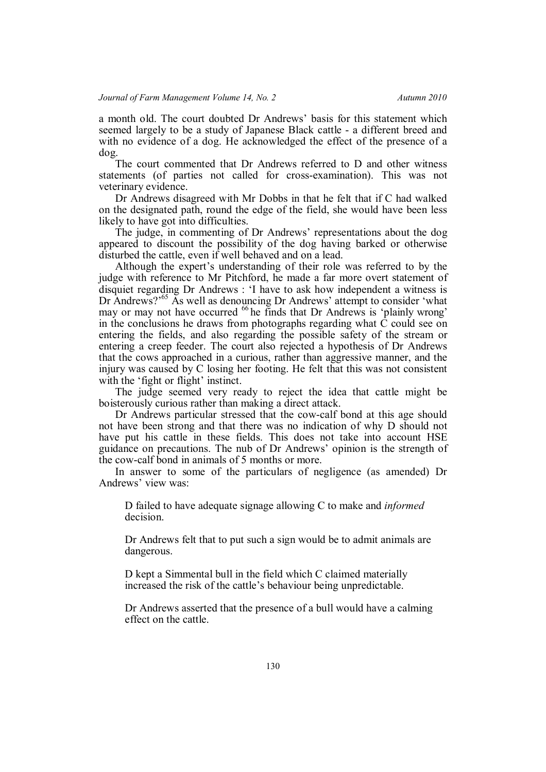a month old. The court doubted Dr Andrews' basis for this statement which seemed largely to be a study of Japanese Black cattle - a different breed and with no evidence of a dog. He acknowledged the effect of the presence of a dog.

The court commented that Dr Andrews referred to D and other witness statements (of parties not called for cross-examination). This was not veterinary evidence.

Dr Andrews disagreed with Mr Dobbs in that he felt that if C had walked on the designated path, round the edge of the field, she would have been less likely to have got into difficulties.

The judge, in commenting of Dr Andrews' representations about the dog appeared to discount the possibility of the dog having barked or otherwise disturbed the cattle, even if well behaved and on a lead.

Although the expert's understanding of their role was referred to by the judge with reference to Mr Pitchford, he made a far more overt statement of disquiet regarding Dr Andrews : 'I have to ask how independent a witness is Dr Andrews?<sup>55</sup> As well as denouncing Dr Andrews' attempt to consider 'what may or may not have occurred <sup>66</sup> he finds that Dr Andrews is 'plainly wrong' in the conclusions he draws from photographs regarding what  $\tilde{C}$  could see on entering the fields, and also regarding the possible safety of the stream or entering a creep feeder. The court also rejected a hypothesis of Dr Andrews that the cows approached in a curious, rather than aggressive manner, and the injury was caused by C losing her footing. He felt that this was not consistent with the 'fight or flight' instinct.

The judge seemed very ready to reject the idea that cattle might be boisterously curious rather than making a direct attack.

Dr Andrews particular stressed that the cow-calf bond at this age should not have been strong and that there was no indication of why D should not have put his cattle in these fields. This does not take into account HSE guidance on precautions. The nub of Dr Andrews' opinion is the strength of the cow-calf bond in animals of 5 months or more.

In answer to some of the particulars of negligence (as amended) Dr Andrews' view was:

D failed to have adequate signage allowing C to make and *informed* decision.

Dr Andrews felt that to put such a sign would be to admit animals are dangerous.

D kept a Simmental bull in the field which C claimed materially increased the risk of the cattle's behaviour being unpredictable.

Dr Andrews asserted that the presence of a bull would have a calming effect on the cattle.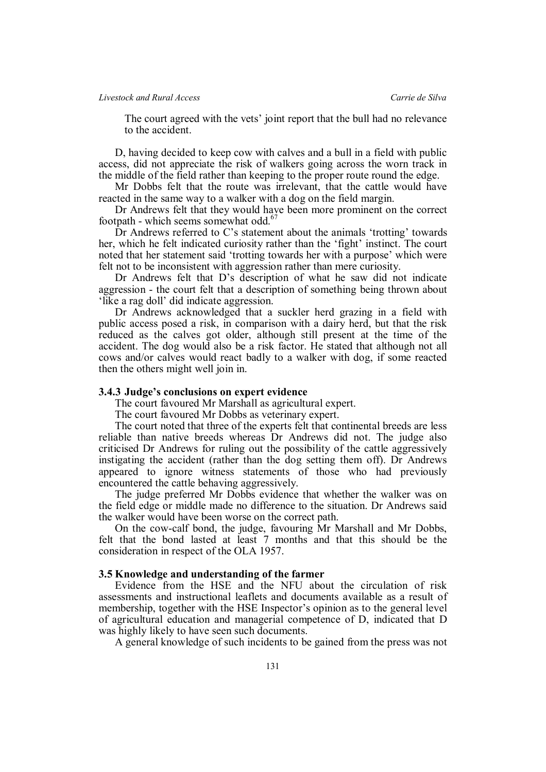The court agreed with the vets' joint report that the bull had no relevance to the accident.

D, having decided to keep cow with calves and a bull in a field with public access, did not appreciate the risk of walkers going across the worn track in the middle of the field rather than keeping to the proper route round the edge.

Mr Dobbs felt that the route was irrelevant, that the cattle would have reacted in the same way to a walker with a dog on the field margin.

Dr Andrews felt that they would have been more prominent on the correct footpath - which seems somewhat odd.<sup>67</sup>

Dr Andrews referred to C's statement about the animals 'trotting' towards her, which he felt indicated curiosity rather than the 'fight' instinct. The court noted that her statement said 'trotting towards her with a purpose' which were felt not to be inconsistent with aggression rather than mere curiosity.

Dr Andrews felt that D's description of what he saw did not indicate aggression - the court felt that a description of something being thrown about 'like a rag doll' did indicate aggression.

Dr Andrews acknowledged that a suckler herd grazing in a field with public access posed a risk, in comparison with a dairy herd, but that the risk reduced as the calves got older, although still present at the time of the accident. The dog would also be a risk factor. He stated that although not all cows and/or calves would react badly to a walker with dog, if some reacted then the others might well join in.

#### **3.4.3 Judge's conclusions on expert evidence**

The court favoured Mr Marshall as agricultural expert.

The court favoured Mr Dobbs as veterinary expert.

The court noted that three of the experts felt that continental breeds are less reliable than native breeds whereas Dr Andrews did not. The judge also criticised Dr Andrews for ruling out the possibility of the cattle aggressively instigating the accident (rather than the dog setting them off). Dr Andrews appeared to ignore witness statements of those who had previously encountered the cattle behaving aggressively.

The judge preferred Mr Dobbs evidence that whether the walker was on the field edge or middle made no difference to the situation. Dr Andrews said the walker would have been worse on the correct path.

On the cow-calf bond, the judge, favouring Mr Marshall and Mr Dobbs, felt that the bond lasted at least 7 months and that this should be the consideration in respect of the OLA 1957.

### **3.5 Knowledge and understanding of the farmer**

Evidence from the HSE and the NFU about the circulation of risk assessments and instructional leaflets and documents available as a result of membership, together with the HSE Inspector's opinion as to the general level of agricultural education and managerial competence of D, indicated that D was highly likely to have seen such documents.

A general knowledge of such incidents to be gained from the press was not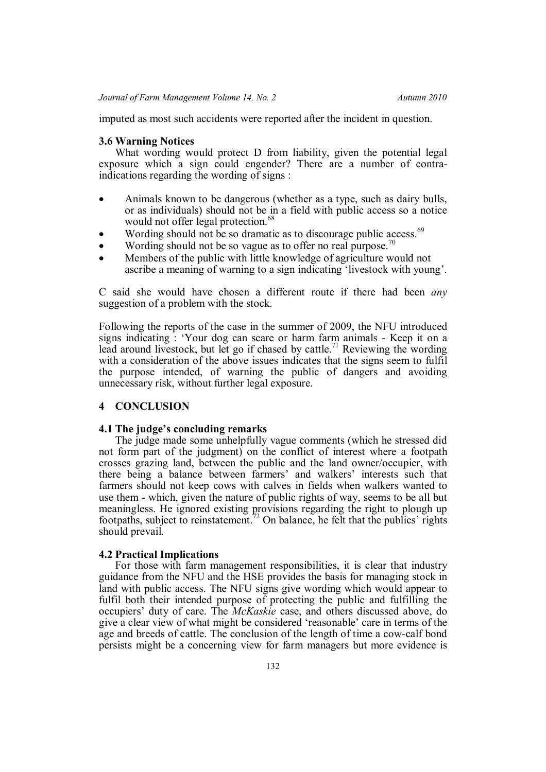imputed as most such accidents were reported after the incident in question.

### **3.6 Warning Notices**

What wording would protect D from liability, given the potential legal exposure which a sign could engender? There are a number of contraindications regarding the wording of signs :

- Animals known to be dangerous (whether as a type, such as dairy bulls, or as individuals) should not be in a field with public access so a notice would not offer legal protection.<sup>68</sup>
- Wording should not be so dramatic as to discourage public access.<sup>69</sup>
- Wording should not be so vague as to offer no real purpose.<sup>70</sup>
- Members of the public with little knowledge of agriculture would not ascribe a meaning of warning to a sign indicating 'livestock with young'.

C said she would have chosen a different route if there had been *any* suggestion of a problem with the stock.

Following the reports of the case in the summer of 2009, the NFU introduced signs indicating : 'Your dog can scare or harm farm animals - Keep it on a lead around livestock, but let go if chased by cattle.<sup>71</sup> Reviewing the wording with a consideration of the above issues indicates that the signs seem to fulfil the purpose intended, of warning the public of dangers and avoiding unnecessary risk, without further legal exposure.

# **4 CONCLUSION**

### **4.1 The judge's concluding remarks**

The judge made some unhelpfully vague comments (which he stressed did not form part of the judgment) on the conflict of interest where a footpath crosses grazing land, between the public and the land owner/occupier, with there being a balance between farmers' and walkers' interests such that farmers should not keep cows with calves in fields when walkers wanted to use them - which, given the nature of public rights of way, seems to be all but meaningless. He ignored existing provisions regarding the right to plough up footpaths, subject to reinstatement.<sup>72</sup> On balance, he felt that the publics' rights should prevail.

### **4.2 Practical Implications**

For those with farm management responsibilities, it is clear that industry guidance from the NFU and the HSE provides the basis for managing stock in land with public access. The NFU signs give wording which would appear to fulfil both their intended purpose of protecting the public and fulfilling the occupiers' duty of care. The *McKaskie* case, and others discussed above, do give a clear view of what might be considered 'reasonable' care in terms of the age and breeds of cattle. The conclusion of the length of time a cow-calf bond persists might be a concerning view for farm managers but more evidence is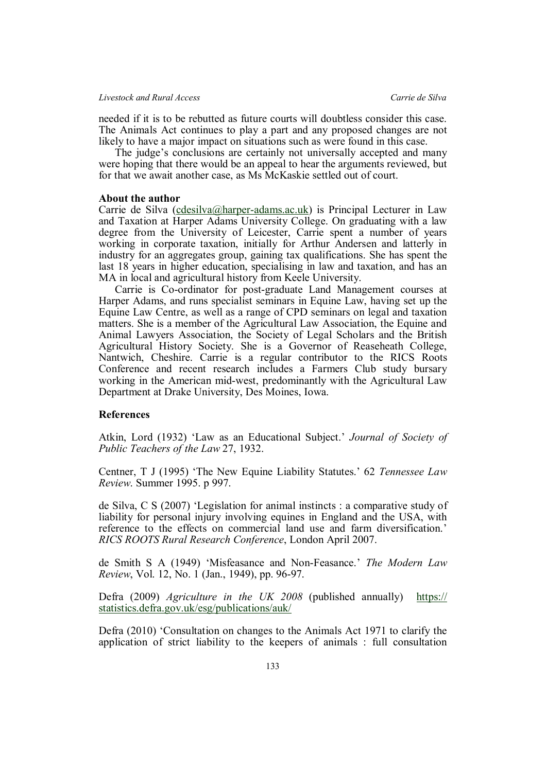needed if it is to be rebutted as future courts will doubtless consider this case. The Animals Act continues to play a part and any proposed changes are not likely to have a major impact on situations such as were found in this case.

The judge's conclusions are certainly not universally accepted and many were hoping that there would be an appeal to hear the arguments reviewed, but for that we await another case, as Ms McKaskie settled out of court.

### **About the author**

Carrie de Silva (cdesilva@harper-adams.ac.uk) is Principal Lecturer in Law and Taxation at Harper Adams University College. On graduating with a law degree from the University of Leicester, Carrie spent a number of years working in corporate taxation, initially for Arthur Andersen and latterly in industry for an aggregates group, gaining tax qualifications. She has spent the last 18 years in higher education, specialising in law and taxation, and has an MA in local and agricultural history from Keele University.

Carrie is Co-ordinator for post-graduate Land Management courses at Harper Adams, and runs specialist seminars in Equine Law, having set up the Equine Law Centre, as well as a range of CPD seminars on legal and taxation matters. She is a member of the Agricultural Law Association, the Equine and Animal Lawyers Association, the Society of Legal Scholars and the British Agricultural History Society. She is a Governor of Reaseheath College, Nantwich, Cheshire. Carrie is a regular contributor to the RICS Roots Conference and recent research includes a Farmers Club study bursary working in the American mid-west, predominantly with the Agricultural Law Department at Drake University, Des Moines, Iowa.

# **References**

Atkin, Lord (1932) 'Law as an Educational Subject.' *Journal of Society of Public Teachers of the Law* 27, 1932.

Centner, T J (1995) 'The New Equine Liability Statutes.' 62 *Tennessee Law Review*. Summer 1995. p 997.

de Silva, C S (2007) 'Legislation for animal instincts : a comparative study of liability for personal injury involving equines in England and the USA, with reference to the effects on commercial land use and farm diversification.' *RICS ROOTS Rural Research Conference*, London April 2007.

de Smith S A (1949) 'Misfeasance and Non-Feasance.' *The Modern Law Review*, Vol. 12, No. 1 (Jan., 1949), pp. 96-97.

Defra (2009) *Agriculture in the UK 2008* (published annually) https:// statistics.defra.gov.uk/esg/publications/auk/

Defra (2010) 'Consultation on changes to the Animals Act 1971 to clarify the application of strict liability to the keepers of animals : full consultation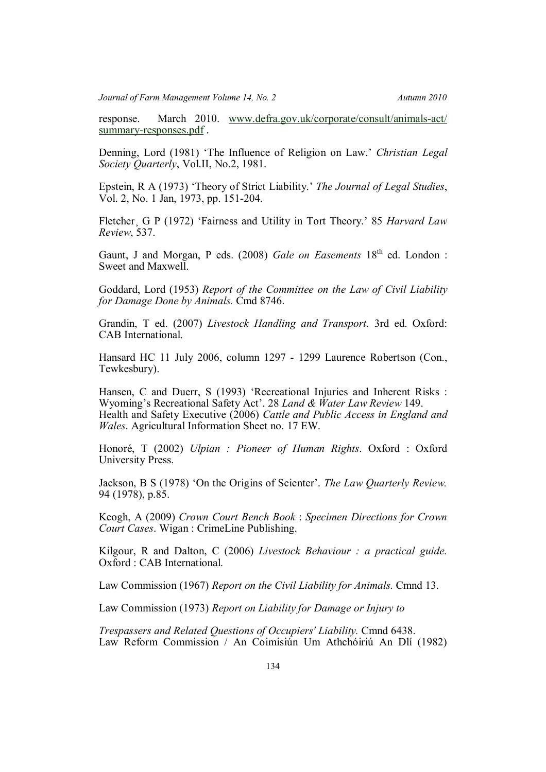response. March 2010. www.defra.gov.uk/corporate/consult/animals-act/ summary-responses.pdf.

Denning, Lord (1981) 'The Influence of Religion on Law.' *Christian Legal Society Quarterly*, Vol.II, No.2, 1981.

Epstein, R A (1973) 'Theory of Strict Liability.' *The Journal of Legal Studies*, Vol. 2, No. 1 Jan, 1973, pp. 151-204.

Fletcher<sub>, G</sub> P (1972) 'Fairness and Utility in Tort Theory.' 85 *Harvard Law Review*, 537.

Gaunt, J and Morgan, P eds. (2008) *Gale on Easements* 18<sup>th</sup> ed. London : Sweet and Maxwell.

Goddard, Lord (1953) *Report of the Committee on the Law of Civil Liability for Damage Done by Animals.* Cmd 8746.

Grandin, T ed. (2007) *Livestock Handling and Transport*. 3rd ed. Oxford: CAB International.

Hansard HC 11 July 2006, column 1297 - 1299 Laurence Robertson (Con., Tewkesbury).

Hansen, C and Duerr, S (1993) 'Recreational Injuries and Inherent Risks : Wyoming's Recreational Safety Act'. 28 *Land & Water Law Review* 149. Health and Safety Executive (2006) *Cattle and Public Access in England and Wales*. Agricultural Information Sheet no. 17 EW.

Honoré, T (2002) *Ulpian : Pioneer of Human Rights*. Oxford : Oxford University Press.

Jackson, B S (1978) 'On the Origins of Scienter'. *The Law Quarterly Review.* 94 (1978), p.85.

Keogh, A (2009) *Crown Court Bench Book* : *Specimen Directions for Crown Court Cases*. Wigan : CrimeLine Publishing.

Kilgour, R and Dalton, C (2006) *Livestock Behaviour : a practical guide.* Oxford : CAB International.

Law Commission (1967) *Report on the Civil Liability for Animals.* Cmnd 13.

Law Commission (1973) *Report on Liability for Damage or Injury to*

*Trespassers and Related Questions of Occupiers' Liability.* Cmnd 6438. Law Reform Commission / An Coimisiún Um Athchóiriú An Dlí (1982)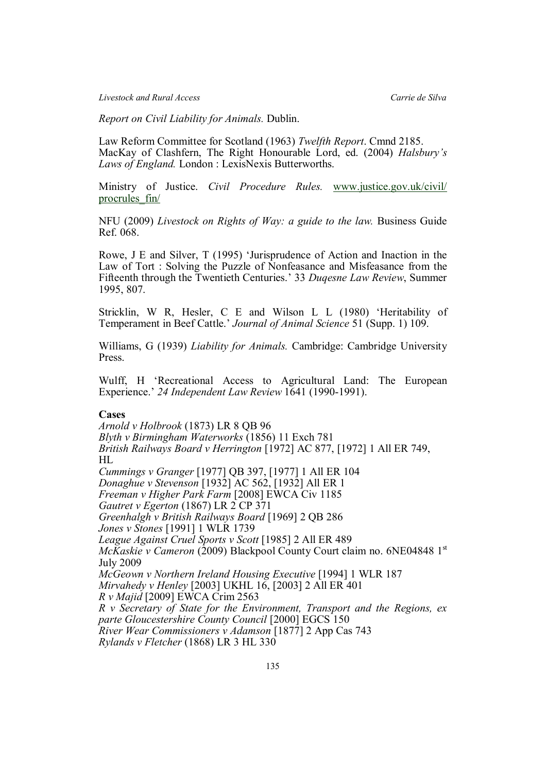*Livestock and Rural Access Carrie de Silva*

*Report on Civil Liability for Animals.* Dublin.

Law Reform Committee for Scotland (1963) *Twelfth Report*. Cmnd 2185. MacKay of Clashfern, The Right Honourable Lord, ed. (2004) *Halsbury's Laws of England.* London : LexisNexis Butterworths.

Ministry of Justice. *Civil Procedure Rules.* www.justice.gov.uk/civil/ procrules\_fin/

NFU (2009) *Livestock on Rights of Way: a guide to the law.* Business Guide Ref. 068.

Rowe, J E and Silver, T (1995) 'Jurisprudence of Action and Inaction in the Law of Tort : Solving the Puzzle of Nonfeasance and Misfeasance from the Fifteenth through the Twentieth Centuries.' 33 *Duqesne Law Review*, Summer 1995, 807.

Stricklin, W R, Hesler, C E and Wilson L L (1980) 'Heritability of Temperament in Beef Cattle.' *Journal of Animal Science* 51 (Supp. 1) 109.

Williams, G (1939) *Liability for Animals.* Cambridge: Cambridge University Press.

Wulff, H 'Recreational Access to Agricultural Land: The European Experience.' *24 Independent Law Review* 1641 (1990-1991).

# **Cases**

*Arnold v Holbrook* (1873) LR 8 QB 96 *Blyth v Birmingham Waterworks* (1856) 11 Exch 781 *British Railways Board v Herrington* [1972] AC 877, [1972] 1 All ER 749, HL *Cummings v Granger* [1977] QB 397, [1977] 1 All ER 104 *Donaghue v Stevenson* [1932] AC 562, [1932] All ER 1 *Freeman v Higher Park Farm* [2008] EWCA Civ 1185 *Gautret v Egerton* (1867) LR 2 CP 371 *Greenhalgh v British Railways Board* [1969] 2 QB 286 *Jones v Stones* [1991] 1 WLR 1739 *League Against Cruel Sports v Scott* [1985] 2 All ER 489 *McKaskie v Cameron* (2009) Blackpool County Court claim no. 6NE04848 1<sup>st</sup> July 2009 *McGeown v Northern Ireland Housing Executive* [1994] 1 WLR 187 *Mirvahedy v Henley* [2003] UKHL 16, [2003] 2 All ER 401 *R v Majid* [2009] EWCA Crim 2563 *R v Secretary of State for the Environment, Transport and the Regions, ex parte Gloucestershire County Council* [2000] EGCS 150 *River Wear Commissioners v Adamson* [1877] 2 App Cas 743 *Rylands v Fletcher* (1868) LR 3 HL 330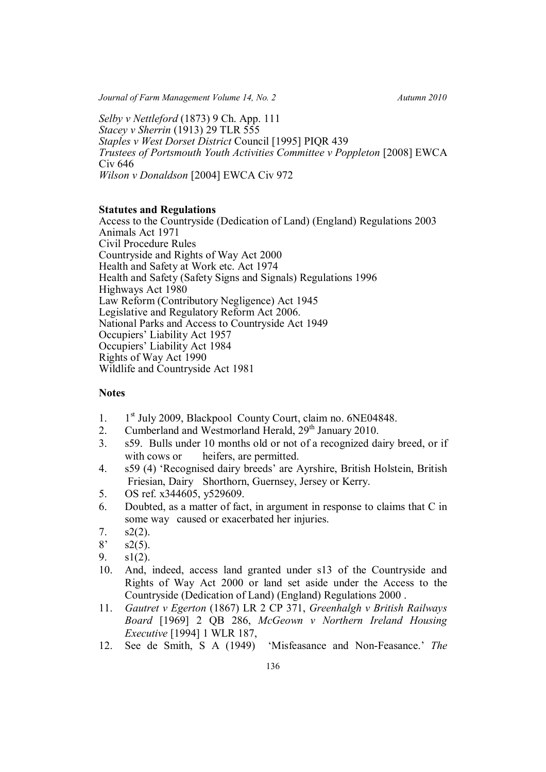*Journal of Farm Management Volume 14, No. 2* Autumn 2010

*Selby v Nettleford* (1873) 9 Ch. App. 111 *Stacey v Sherrin* (1913) 29 TLR 555 *Staples v West Dorset District* Council [1995] PIQR 439 *Trustees of Portsmouth Youth Activities Committee v Poppleton* [2008] EWCA Civ 646 *Wilson v Donaldson* [2004] EWCA Civ 972

# **Statutes and Regulations**

Access to the Countryside (Dedication of Land) (England) Regulations 2003 Animals Act 1971 Civil Procedure Rules Countryside and Rights of Way Act 2000 Health and Safety at Work etc. Act 1974 Health and Safety (Safety Signs and Signals) Regulations 1996 Highways Act 1980 Law Reform (Contributory Negligence) Act 1945 Legislative and Regulatory Reform Act 2006. National Parks and Access to Countryside Act 1949 Occupiers' Liability Act 1957 Occupiers' Liability Act 1984 Rights of Way Act 1990 Wildlife and Countryside Act 1981

# **Notes**

- 1. 1  $1<sup>st</sup>$  July 2009, Blackpool County Court, claim no. 6NE04848.
- 2. Cumberland and Westmorland Herald,  $29<sup>th</sup>$  January 2010.
- 3. s59. Bulls under 10 months old or not of a recognized dairy breed, or if with cows or heifers, are permitted.
- 4. s59 (4) 'Recognised dairy breeds' are Ayrshire, British Holstein, British Friesian, Dairy Shorthorn, Guernsey, Jersey or Kerry.
- 5. OS ref. x344605, y529609.
- 6. Doubted, as a matter of fact, in argument in response to claims that C in some way caused or exacerbated her injuries.
- 7.  $s2(2)$ .
- $8'$  s2(5).
- 9. s1(2).
- 10. And, indeed, access land granted under s13 of the Countryside and Rights of Way Act 2000 or land set aside under the Access to the Countryside (Dedication of Land) (England) Regulations 2000 .
- 11. *Gautret v Egerton* (1867) LR 2 CP 371, *Greenhalgh v British Railways Board* [1969] 2 QB 286, *McGeown v Northern Ireland Housing Executive* [1994] 1 WLR 187,
- 12. See de Smith, S A (1949) 'Misfeasance and Non-Feasance.' *The*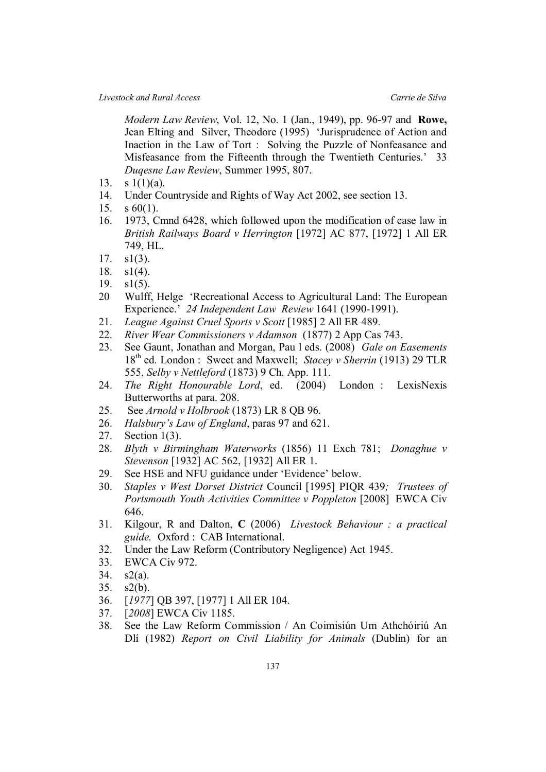*Modern Law Review*, Vol. 12, No. 1 (Jan., 1949), pp. 96-97 and **Rowe,** Jean Elting and Silver, Theodore (1995) 'Jurisprudence of Action and Inaction in the Law of Tort : Solving the Puzzle of Nonfeasance and Misfeasance from the Fifteenth through the Twentieth Centuries.' 33 *Duqesne Law Review*, Summer 1995, 807.

- 13. s  $1(1)(a)$ .
- 14. Under Countryside and Rights of Way Act 2002, see section 13.
- 15. s 60(1).
- 16. 1973, Cmnd 6428, which followed upon the modification of case law in *British Railways Board v Herrington* [1972] AC 877, [1972] 1 All ER 749, HL.
- 17.  $s1(3)$ .
- 18. s1(4).
- 19. s1(5).
- 20 Wulff, Helge 'Recreational Access to Agricultural Land: The European Experience.' *24 Independent Law Review* 1641 (1990-1991).
- 21. *League Against Cruel Sports v Scott* [1985] 2 All ER 489.
- 22. *River Wear Commissioners v Adamson* (1877) 2 App Cas 743.
- 23. See Gaunt, Jonathan and Morgan, Pau l eds. (2008) *Gale on Easements* 18th ed. London : Sweet and Maxwell; *Stacey v Sherrin* (1913) 29 TLR 555, *Selby v Nettleford* (1873) 9 Ch. App. 111.
- 24. *The Right Honourable Lord*, ed. (2004) London : LexisNexis Butterworths at para. 208.
- 25. See *Arnold v Holbrook* (1873) LR 8 QB 96.
- 26. *Halsbury's Law of England*, paras 97 and 621.
- 27. Section 1(3).
- 28. *Blyth v Birmingham Waterworks* (1856) 11 Exch 781; *Donaghue v Stevenson* [1932] AC 562, [1932] All ER 1.
- 29. See HSE and NFU guidance under 'Evidence' below.
- 30. *Staples v West Dorset District* Council [1995] PIQR 439*; Trustees of Portsmouth Youth Activities Committee v Poppleton* [2008] EWCA Civ 646.
- 31. Kilgour, R and Dalton, **C** (2006) *Livestock Behaviour : a practical guide.* Oxford : CAB International.
- 32. Under the Law Reform (Contributory Negligence) Act 1945.
- 33. EWCA Civ 972.
- 34. s2(a).
- 35. s2(b).
- 36. [*1977*] QB 397, [1977] 1 All ER 104.
- 37. [*2008*] EWCA Civ 1185.
- 38. See the Law Reform Commission / An Coimisiún Um Athchóiriú An Dlí (1982) *Report on Civil Liability for Animals* (Dublin) for an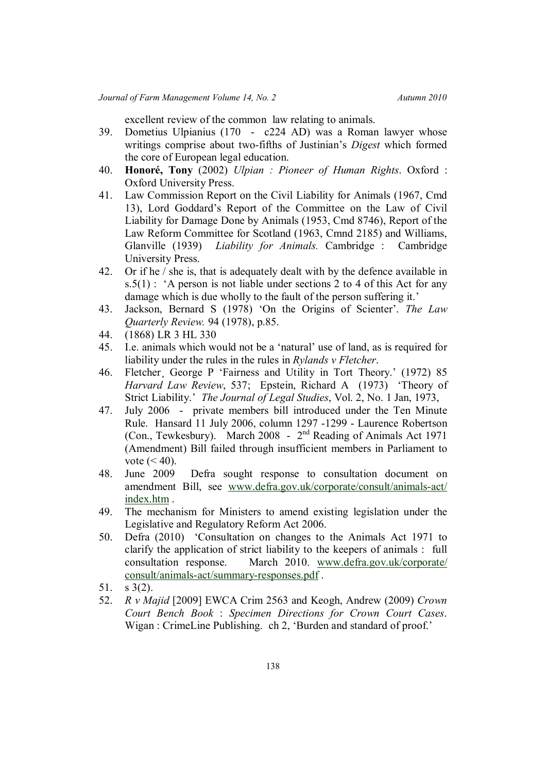excellent review of the common law relating to animals.

- 39. Dometius Ulpianius (170 c224 AD) was a Roman lawyer whose writings comprise about two-fifths of Justinian's *Digest* which formed the core of European legal education.
- 40. **Honoré, Tony** (2002) *Ulpian : Pioneer of Human Rights*. Oxford : Oxford University Press.
- 41. Law Commission Report on the Civil Liability for Animals (1967, Cmd 13), Lord Goddard's Report of the Committee on the Law of Civil Liability for Damage Done by Animals (1953, Cmd 8746), Report of the Law Reform Committee for Scotland (1963, Cmnd 2185) and Williams, Glanville (1939) *Liability for Animals.* Cambridge : Cambridge University Press.
- 42. Or if he / she is, that is adequately dealt with by the defence available in s.5(1) : 'A person is not liable under sections 2 to 4 of this Act for any damage which is due wholly to the fault of the person suffering it.'
- 43. Jackson, Bernard S (1978) 'On the Origins of Scienter'. *The Law Quarterly Review.* 94 (1978), p.85.
- 44. (1868) LR 3 HL 330
- 45. I.e. animals which would not be a 'natural' use of land, as is required for liability under the rules in the rules in *Rylands v Fletcher*.
- 46. Fletcher¸ George P 'Fairness and Utility in Tort Theory.' (1972) 85 *Harvard Law Review*, 537; Epstein, Richard A (1973) 'Theory of Strict Liability.' *The Journal of Legal Studies*, Vol. 2, No. 1 Jan, 1973,
- 47. July 2006 private members bill introduced under the Ten Minute Rule. Hansard 11 July 2006, column 1297 -1299 - Laurence Robertson (Con., Tewkesbury). March 2008 - 2<sup>nd</sup> Reading of Animals Act 1971 (Amendment) Bill failed through insufficient members in Parliament to vote  $(< 40)$ .
- 48. June 2009 Defra sought response to consultation document on amendment Bill, see www.defra.gov.uk/corporate/consult/animals-act/ index.htm .
- 49. The mechanism for Ministers to amend existing legislation under the Legislative and Regulatory Reform Act 2006.
- 50. Defra (2010) 'Consultation on changes to the Animals Act 1971 to clarify the application of strict liability to the keepers of animals : full consultation response. March 2010. www.defra.gov.uk/corporate/ consult/animals-act/summary-responses.pdf .
- 51. s 3(2).
- 52. *R v Majid* [2009] EWCA Crim 2563 and Keogh, Andrew (2009) *Crown Court Bench Book* : *Specimen Directions for Crown Court Cases*. Wigan : CrimeLine Publishing. ch 2, 'Burden and standard of proof.'